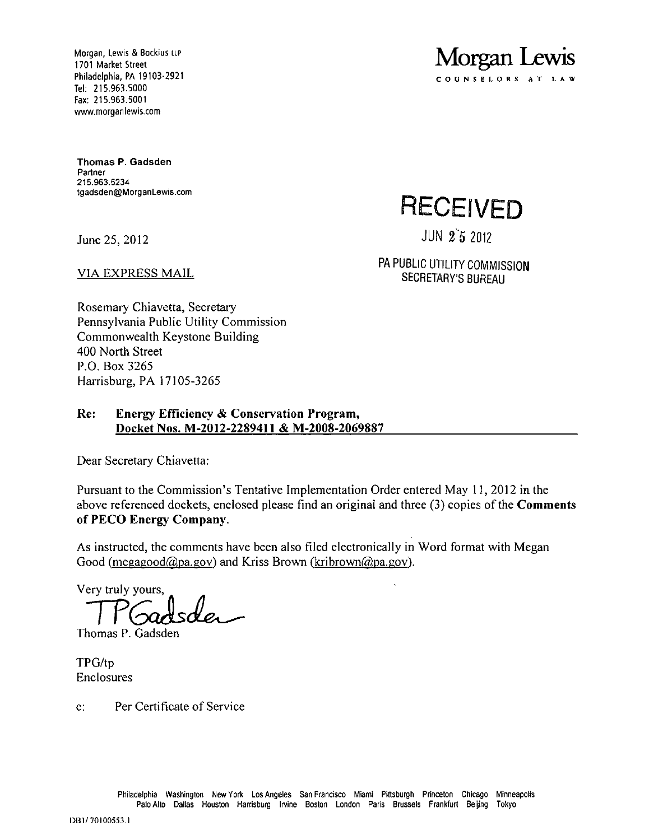Morgan, Lewis & Bockius LLP<br>1701 Market Street<br>Philadelphia, PA 19103-2921<br>**S.O.U.N.S.E.L.O.N.S.E.L.O.N.S.E.L.O.N.S.E.L.O.N.S.E.L.O.N.S.E.L.O.N.S.E.L.O.N.S.E.L.O.N.S.E.L.O.N.S.E.L.O.N.S.E.L.O.N.S.E.L.O.N.S.E.L.O.N.S.E.L.O.** 1701 Market Street Tel: 215.963.5000 Fax: 215.963.5001 www.morganlewis.com

Thomas P. Gadsden Partner 215.963.5234 tgadsden@MorganLewis.com

June 25, 2012 JUN 2'5 2012

**RECEIVED** 

COUNSELORS AT

VIA EXPRESS MAIL **EXPRESS MAIL PA PUBLIC UTILITY COMMISSION** SECRETARY'S BURFAUL

Rosemary Chiavetta, Secretary Pennsylvania Public Utility Commission Commonwealth Keystone Building 400 North Street P.O. Box 3265 Harrisburg, PA 17105-3265

# **Re: Energy Efficiency & Conservation Program, Docket Nos. M-2012-2289411 & M-2008-2069887**

Dear Secretary Chiavetta:

**Pursuant to the Commission's Tentative Implementation Order entered May 11, 2012 in the**  above referenced dockets, enclosed please find an original and three (3) copies of the **Comments of PECO Energy Company.** 

As instructed, the comments have been also filed electronically in Word format with Megan Good (megagood $(a)$ pa.gov) and Kriss Brown (kribrown $(a)$ pa.gov).

Very truly yours

Thomas P. Gadsden

TPG/tp Enclosures

c: Per Certificate of Service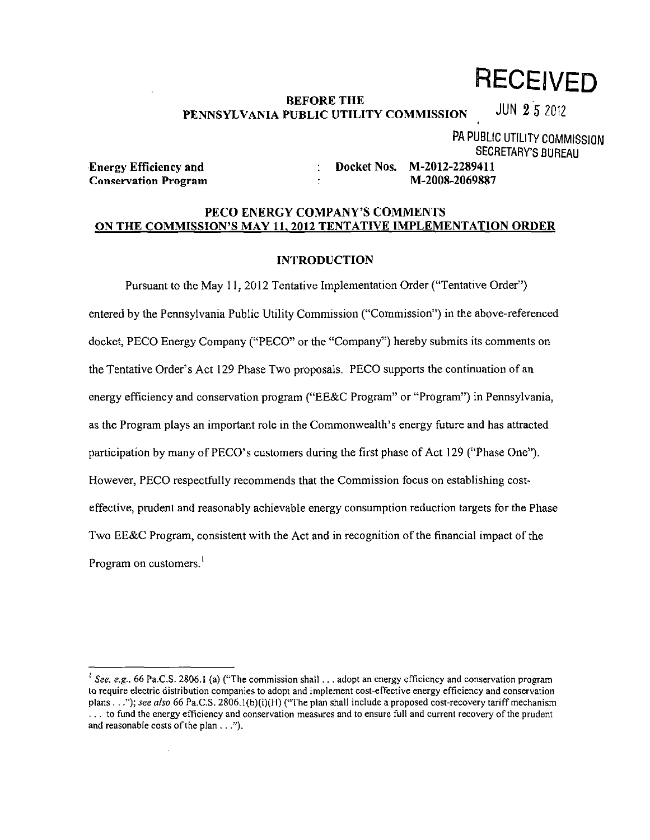**RECEIVED** 

#### **BEFORE THE**  PENNSYLVANIA PUBLIC UTILITY COMMISSION  $\frac{1}{1}$  JUN Z 5 2012

**PA PUBLIC UTILITY COMMISSION SECRETARY'S BUREAU**<br>**M-2012-2289411** 

**Energy Efficiency and The Construction Constraints Energy Efficiency and The Construction Construction Construction Construction Construction Construction Construction Construction Construction Construction Construction C** 

**Conservation Program M-2008-2069887** 

## **PECO ENERGY COMPANY'S COMMENTS ON THE COMMISSION'S MAY 11, 2012 TENTATIVE IMPLEMENTATION ORDER**

## **INTRODUCTION**

Pursuant to the May 11, 2012 Tentative Implementation Order ("Tentative Order") entered by the Pennsylvania Public Utility Commission ("Commission") in the above-referenced docket, PECO Energy Company ("PECO" or the "Company") hereby submits its comments on the Tentative Order's Act 129 Phase Two proposals. PECO supports the continuation of an energy efficiency and conservation program ("EE&C Program" or "Program") in Pennsylvania, as the Program plays an important role in the Commonwealth's energy future and has attracted participation by many of PECO's customers during the first phase of Act 129 ("Phase One"). However, PECO respectfully recommends that the Commission focus on establishing costeffective, prudent and reasonably achievable energy consumption reduction targets for the Phase Two EE&C Program, consistent with the Act and in recognition of the financial impact of the Program on customers.<sup>1</sup>

<sup>&</sup>lt;sup>1</sup> See. e.g., 66 Pa.C.S. 2806.1 (a) ("The commission shall . . . adopt an energy efficiency and conservation program to require electric distribution companies to adopt and implement cost-effective energy efficiency and conservation plans . . ."); see also 66 Pa.C.S. 2806.1(b)(i)(H) ("The plan shall include a proposed cost-recovery tariff mechanism . . . to fund the energy efficiency and conservation measures and to ensure full and current recovery of the prudent and reasonable costs of the plan ...").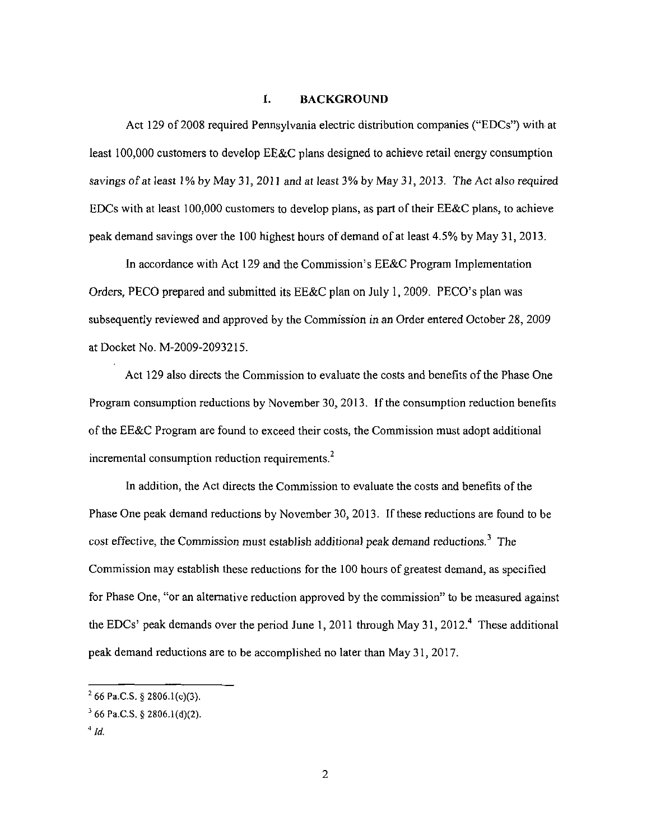#### I. BACKGROUND

Act 129 of 2008 required Pennsylvania electric distribution companies ("EDCs") with at least 100,000 customers to develop EE&C plans designed to achieve retail energy consumption savings of at least 1% by May 31, 2011 and at least 3% by May 31, 2013. The Act also required EDCs with at least 100,000 customers to develop plans, as part of their EE&C plans, to achieve peak demand savings over the 100 highest hours of demand of at least 4.5% by May 31, 2013.

In accordance with Act 129 and the Commission's EE&C Program Implementation Orders, PECO prepared and submitted its EE&C plan on July 1, 2009. PECO's plan was subsequently reviewed and approved by the Commission in an Order entered October 28, 2009 at Docket No. M-2009-2093215.

Act 129 also directs the Commission to evaluate the costs and benefits of the Phase One Program consumption reductions by November 30, 2013. If the consumption reduction benefits of the EE&C Program are found to exceed their costs, the Commission must adopt additional incremental consumption reduction requirements.<sup>2</sup>

In addition, the Act directs the Commission to evaluate the costs and benefits of the Phase One peak demand reductions by November 30, 2013. If these reductions are found to be cost effective, the Commission must establish additional peak demand reductions.<sup>3</sup> The Commission may establish these reductions for the 100 hours of greatest demand, as specified for Phase One, "or an alternative reduction approved by the commission" to be measured against the EDCs' peak demands over the period June 1, 2011 through May 31, 2012.<sup>4</sup> These additional peak demand reductions are to be accomplished no later than May 31, 2017.

 $2^{2}$  66 Pa.C.S. § 2806.1(c)(3).

 $3$  66 Pa.C.S. § 2806.1(d)(2).

 $4/d$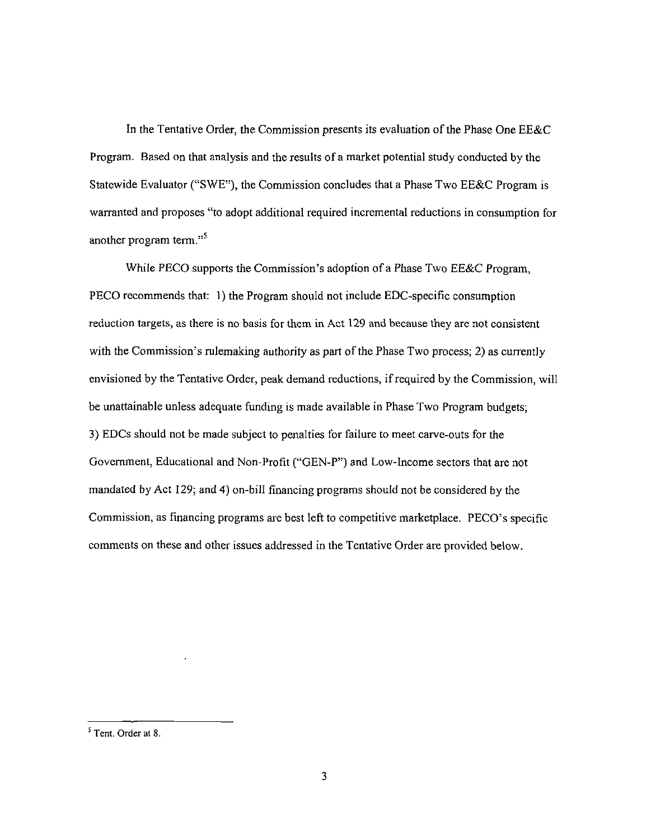In the Tentative Order, the Commission presents its evaluation of the Phase One EE&C Program. Based on that analysis and the results of a market potential study conducted by the Statewide Evaluator ("SWE"), the Commission concludes that a Phase Two EE&C Program is warranted and proposes "to adopt additional required incremental reductions in consumption for another program term."<sup>5</sup>

While PECO supports the Commission's adoption of a Phase Two EE&C Program, PECO recommends that: 1) the Program should not include EDC-specific consumption reduction targets, as there is no basis for them in Act 129 and because they are not consistent with the Commission's rulemaking authority as part of the Phase Two process; 2) as currently envisioned by the Tentative Order, peak demand reductions, if required by the Commission, will be unattainable unless adequate funding is made available in Phase Two Program budgets; 3) EDCs should not be made subject to penalties for failure to meet carve-outs for the Government, Educational and Non-Profit ("GEN-P") and Low-Income sectors that are not mandated by Act 129; and 4) on-bill financing programs should not be considered by the Commission, as financing programs are best left to competitive marketplace. PECO's specific comments on these and other issues addressed in the Tentative Order are provided below.

<sup>&</sup>lt;sup>5</sup> Tent. Order at 8.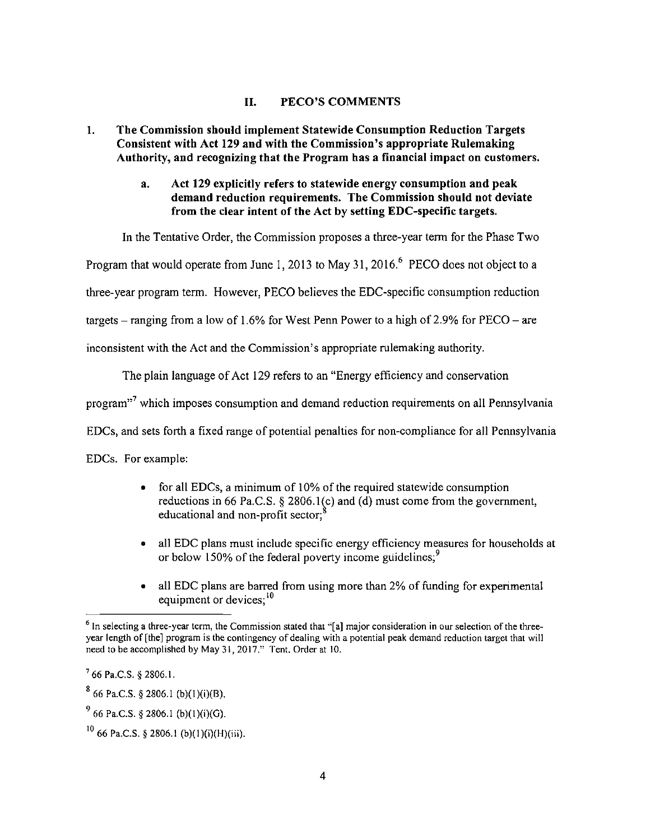#### **II. PECO'S COMMENTS**

## **1. The Commission should implement Statewide Consumption Reduction Targets Consistent with Act 129 and with the Commission's appropriate Rulemaking Authority, and recognizing that the Program has a financial impact on customers.**

## **a. Act 129 explicitly refers to statewide energy consumption and peak demand reduction requirements. The Commission should not deviate from the clear intent of the Act by setting EDC-specific targets.**

In the Tentative Order, the Commission proposes a three-year term for the Phase Two

Program that would operate from June 1, 2013 to May 31, 2016. $^{\circ}$  PECO does not object to a

three-year program term. However, PECO believes the EDC-specific consumption reduction

targets – ranging from a low of 1.6% for West Penn Power to a high of 2.9% for  $PECO$  – are

inconsistent with the Act and the Commission's appropriate rulemaking authority.

The plain language of Act 129 refers to an "Energy efficiency and conservation

program"<sup>'</sup> which imposes consumption and demand reduction requirements on all Pennsylvania

EDCs, and sets forth a fixed range of potential penalties for non-compliance for all Pennsylvania

EDCs. For example:

- for all EDCs, a minimum of 10% of the required statewide consumption reductions in 66 Pa.C.S. § 2806.1(c) and (d) must come from the government, educational and non-profit sector;<sup>8</sup>
- all EDC plans must include specific energy efficiency measures for households at or below 150% of the federal poverty income guidelines;<sup>9</sup>
- all EDC plans are barred from using more than 2% of funding for experimental equipment or devices;<sup>10</sup>

<sup>&</sup>lt;sup>6</sup> In selecting a three-year term, the Commission stated that "[a] major consideration in our selection of the threeyear length of [the] program is the contingency of dealing with a potential peak demand reduction target that will need to be accomplished by May 31, 2017." Tent. Order at 10.

<sup>7</sup> 66 Pa.C.S. § 2806.1.

 $^{\circ}$  66 Pa.C.S. § 2806.1 (b)(1)(i)(B).

 $\frac{9}{5}$  66 Pa.C.S. § 2806.1 (b)(1)(i)(G).

 $10^{10}$  66 Pa.C.S. § 2806.1 (b)(1)(i)(H)(iii).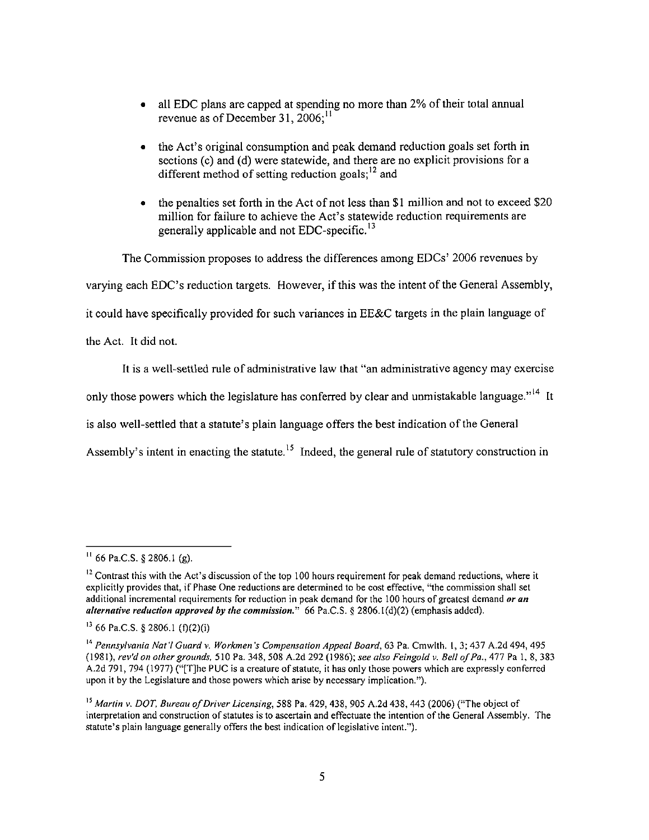- all EDC plans are capped at spending no more than 2% of their total annual revenue as of December 31,  $2006$ ;<sup>11</sup>
- the Act's original consumption and peak demand reduction goals set forth in sections (c) and (d) were statewide, and there are no explicit provisions for a different method of setting reduction goals;<sup>12</sup> and
- the penalties set forth in the Act of not less than \$1 million and not to exceed \$20 million for failure to achieve the Act's statewide reduction requirements are generally applicable and not EDC-specific.<sup>13</sup>

The Commission proposes to address the differences among EDCs' 2006 revenues by varying each EDC's reduction targets. However, if this was the intent ofthe General Assembly, it could have specifically provided for such variances in EE&C targets in the plain language of the Act. It did not.

It is a well-settled rule of administrative law that "an administrative agency may exercise

only those powers which the legislature has conferred by clear and unmistakable language."<sup>14</sup> It

is also well-settled that a statute's plain language offers the best indication of the General

Assembly's intent in enacting the statute.<sup>15</sup> Indeed, the general rule of statutory construction in

 $^{11}$  66 Pa.C.S. § 2806.1 (g).

 $12$  Contrast this with the Act's discussion of the top 100 hours requirement for peak demand reductions, where it explicitly provides that, if Phase One reductions are determined to be cost effective, "the commission shall set additional incremental requirements for reduction in peak demand for the 100 hours of greatest demand or an alternative reduction approved by the commission." 66 Pa.C.S. § 2806.1(d)(2) (emphasis added).

 $^{13}$  66 Pa.C.S. § 2806.1 (f)(2)(i)

<sup>&</sup>lt;sup>14</sup> Pennsylvania Nat'l Guard v. Workmen's Compensation Appeal Board, 63 Pa. Cmwlth. 1, 3; 437 A.2d 494, 495 (1981), rev'd on other grounds, 510 Pa. 348, 508 A.2d 292 (1986); see also Feingold v. Bell of Pa., 477 Pa 1, 8, 383 A.2d 791, 794 (1977) ("[T]he PUC is a creature of statute, it has only those powers which are expressly conferred upon it by the Legislature and those powers which arise by necessary implication.").

<sup>&</sup>lt;sup>13</sup> Martin v. DOT, Bureau of Driver Licensing, 588 Pa. 429, 438, 905 A.2d 438, 443 (2006) ("The object of interpretation and construction of statutes is to ascertain and effectuate the intention of the General Assembly. The statute's plain language generally offers the best indication of legislative intent.'').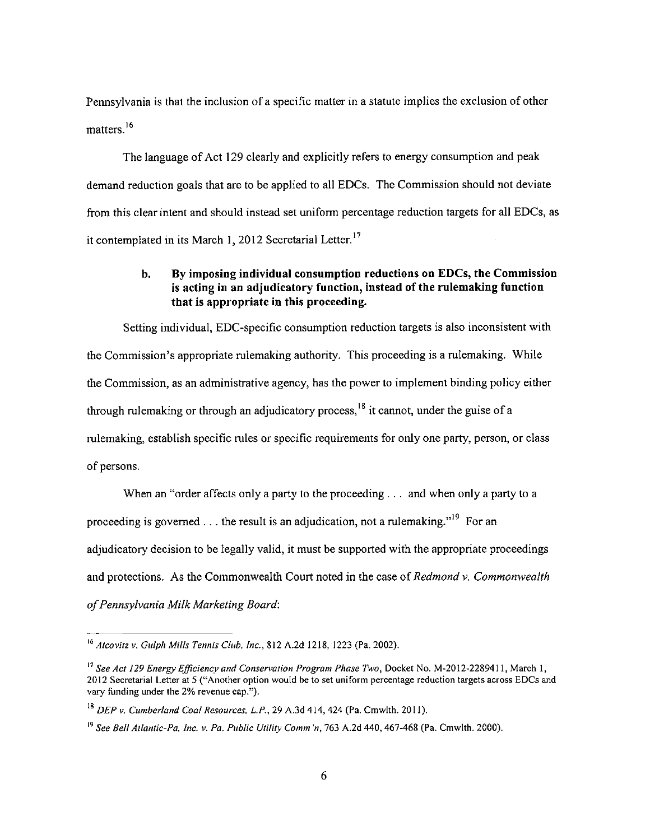Pennsylvania is that the inclusion of a specific matter in a statute implies the exclusion of other matters.<sup>16</sup>

The language of Act 129 clearly and explicitly refers to energy consumption and peak demand reduction goals that are to be applied to all EDCs. The Commission should not deviate from this clear intent and should instead set uniform percentage reduction targets for all EDCs, as it contemplated in its March 1, 2012 Secretarial Letter.<sup>17</sup>

# **b. By imposing individual consumption reductions on EDCs, the Commission is acting in an adjudicatory function, instead of the rulemaking function that is appropriate in this proceeding.**

Setting individual, EDC-specific consumption reduction targets is also inconsistent with the Commission's appropriate rulemaking authority. This proceeding is a rulemaking. While the Commission, as an administrative agency, has the power to implement binding policy either through rulemaking or through an adjudicatory process,  $\frac{18}{18}$  it cannot, under the guise of a rulemaking, establish specific rules or specific requirements for only one party, person, or class of persons.

*When an "order affects only a party to the proceeding ... and when only a party to a proceeding is governed ... the result is an adjudication, not a rulemaking."19 For an adjudicatory decision to be legally valid, it must be supported with the appropriate proceedings and protections. As the Commonwealth Court noted in the case of Redmond v. Commonwealth of Pennsylvania Milk Marketing Board:* 

 $16$  Atcovitz v. Gulph Mills Tennis Club, Inc., 812 A.2d 1218, 1223 (Pa. 2002).

<sup>&</sup>lt;sup>17</sup> See Act 129 Energy Efficiency and Conservation Program Phase Two, Docket No. M-2012-2289411, March 1, 2012 Secretarial Letter at 5 ("Another option would be to set uniform percentage reduction targets across EDCs and vary funding under the 2% revenue cap.").

 $^{18}$  DEP v. Cumberland Coal Resources, L.P., 29 A.3d 414, 424 (Pa. Cmwlth. 2011).

<sup>&</sup>lt;sup>19</sup> See Bell Atlantic-Pa, Inc. v. Pa. Public Utility Comm 'n, 763 A.2d 440, 467-468 (Pa. Cmwlth. 2000).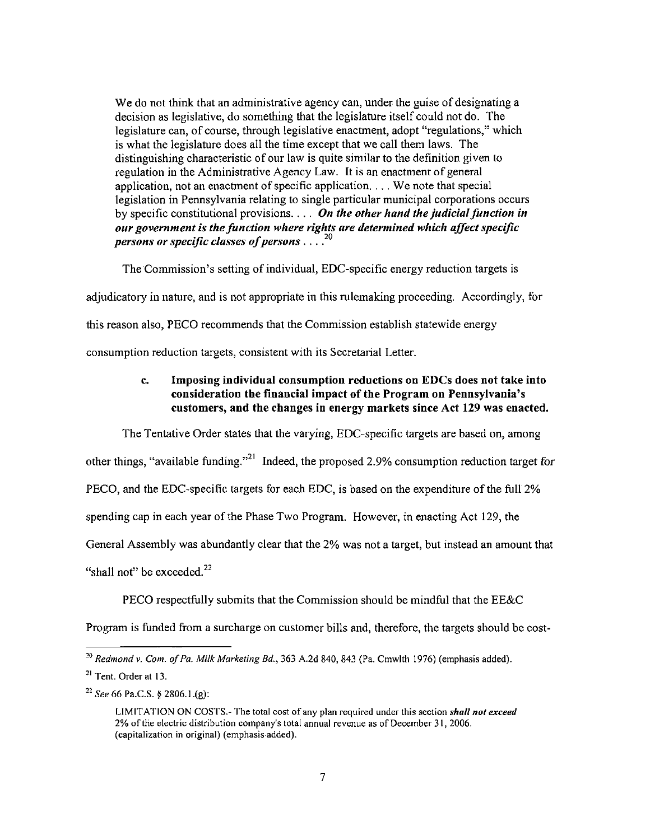We do not think that an administrative agency can, under the guise of designating a decision as legislative, do something that the legislature itself could not do. The legislature can, of course, through legislative enactment, adopt "regulations," which is what the legislature does all the time except that we call them laws. The distinguishing characteristic of our law is quite similar to the definition given to regulation in the Administrative Agency Law. It is an enactment of general application, not an enactment of specific application. . . . We note that special legislation in Pennsylvania relating to single particular municipal corporations occurs by specific constitutional provisions.  $\ldots$  On the other hand the judicial function in our government is the function where rights are determined which affect specific persons or specific classes of persons .....<sup>20</sup>

The Commission's setting of individual, EDC-specific energy reduction targets is

adjudicatory in nature, and is not appropriate in this rulemaking proceeding. Accordingly, for

this reason also, PECO recommends that the Commission establish statewide energy

consumption reduction targets, consistent with its Secretarial Letter.

# **c. Imposing individual consumption reductions on EDCs does not take into consideration the financial impact of the Program on Pennsylvania's customers, and the changes in energy markets since Act 129 was enacted.**

The Tentative Order states that the varying, EDC-specific targets are based on, among

other things, "available funding."<sup>21</sup> Indeed, the proposed 2.9% consumption reduction target for

PECO, and the EDC-specific targets for each EDC, is based on the expenditure of the full 2%

spending cap in each year of the Phase Two Program. However, in enacting Act 129, the

General Assembly was abundantly clear that the 2% was not a target, but instead an amount that

"shall not" be exceeded. $22$ 

PECO respectfully submits that the Commission should be mindful that the EE&C

Program is funded from a surcharge on customer bills and, therefore, the targets should be cost-

 $^{20}$  Redmond v. Com. of Pa. Milk Marketing Bd., 363 A.2d 840, 843 (Pa. Cmwlth 1976) (emphasis added).

 $21$  Tent. Order at 13.

<sup>&</sup>lt;sup>22</sup> See 66 Pa.C.S. § 2806.1.(g):

LIMITATION ON COSTS.- The total cost of any plan required under this section shall not exceed 2% of the electric distribution company's total annual revenue as of December 31, 2006. (capitalization in original) (emphasis added).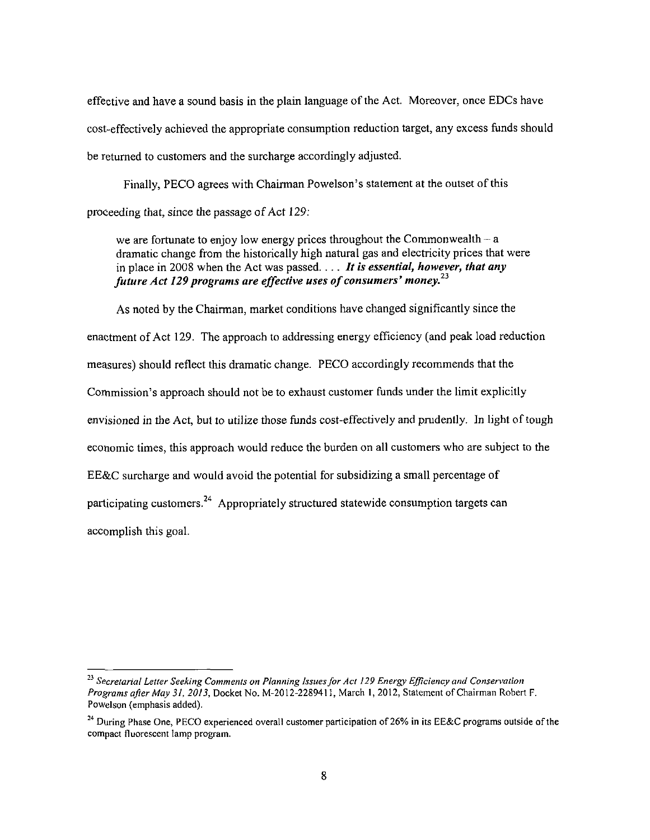effective and have a sound basis in the plain language of the Act. Moreover, once EDCs have cost-effectively achieved the appropriate consumption reduction target, any excess funds should be returned to customers and the surcharge accordingly adjusted.

Finally, PECO agrees with Chairman Powelson's statement at the outset of this proceeding that, since the passage of Act 129:

*we are fortunate to enjoy low energy prices throughout the Commonwealth - a dramatic change from the historically high natural gas and electricity prices that were in place in 2008 when the Act was passed.... It is essential, however, that any*  future Act 129 programs are effective uses of consumers' money.<sup>23</sup>

As noted by the Chairman, market conditions have changed significantly since the enactment of Act 129. The approach to addressing energy efficiency (and peak load reduction measures) should reflect this dramatic change. PECO accordingly recommends that the Commission's approach should not be to exhaust customer funds under the limit explicitly envisioned in the Act, but to utilize those funds cost-effectively and prudently. In light of tough economic times, this approach would reduce the burden on all customers who are subject to the EE&C surcharge and would avoid the potential for subsidizing a small percentage of participating customers.<sup>24</sup> Appropriately structured statewide consumption targets can accomplish this goal.

<sup>&</sup>lt;sup>23</sup> Secretarial Letter Seeking Comments on Planning Issues for Act 129 Energy Efficiency and Conservation Programs after May 31, 2013, Docket No. M-2012-2289413, March 1, 2012, Statement of Chairman Robert F. Powelson (emphasis added).

<sup>&</sup>lt;sup>24</sup> During Phase One, PECO experienced overall customer participation of 26% in its EE&C programs outside of the compact fluorescent lamp program.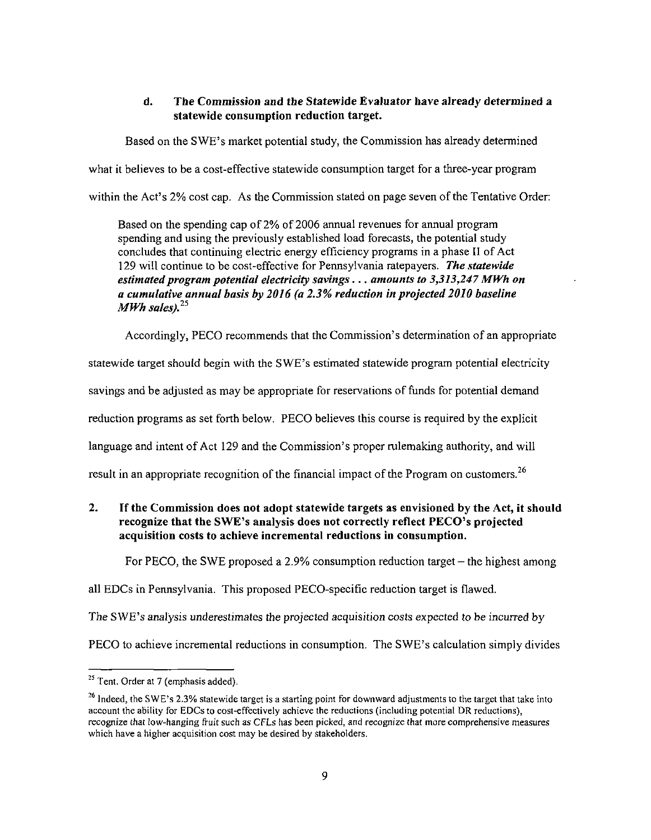# **d. The Commissioo and the Statewide Evaluator have already determined a statewide consumption reduction target.**

Based on the SWE's market potential study, the Commission has already detennined

what it believes to be a cost-effective statewide consumption target for a three-year program

within the Act's 2% cost cap. As the Commission stated on page seven of the Tentative Order:

*Based on the spending cap of 2% of 2006 annual revenues for annual program spending and using the previously established load forecasts, the potential study concludes that continuing electric energy efficiency programs in a phase II of Act 129 will continue to be cost-effective for Pennsylvania ratepayers. The statewide estimated program potential electricity savings... amounts to 3,313,247 MWh on a cumulative annual basis by 2016 (a 2.3% reduction in projected 2010 baseline MWh sales).<sup>25</sup>*

Accordingly, PECO recommends that the Commission's determination of an appropriate

statewide target should begin with the SWE's estimated statewide program potential electricity

savings and be adjusted as may be appropriate for reservations of funds for potential demand

reduction programs as set forth below. PECO believes this course is required by the explicit

language and intent of Act 129 and the Commission's proper rulemaking authority, and will

result in an appropriate recognition of the financial impact of the Program on customers.<sup>26</sup>

**2. If the Commission does not adopt statewide targets as envisioned by the Act, it should recognize that the SWE's analysis does not correctly reflect PECO's projected acquisition costs to achieve incremental reductions in consumption.** 

For PECO, the SWE proposed a 2.9% consumption reduction target – the highest among

all EDCs in Pennsylvania. This proposed PECO-specific reduction target is flawed.

The SWE's analysis underestimates the projected acquisition costs expected to be incurred by

PECO to achieve incremental reductions in consumption. The SWE's calculation simply divides

<sup>&</sup>lt;sup>23</sup> Tent. Order at 7 (emphasis added).

<sup>&</sup>lt;sup>26</sup> Indeed, the SWE's 2.3% statewide target is a starting point for downward adjustments to the target that take into account the ability for EDCs to cost-effectively achieve the reductions (including potential DR reductions), recognize that low-hanging fruit such as CFLs has been picked, and recognize that more comprehensive measures which have a higher acquisition cost may be desired by stakeholders.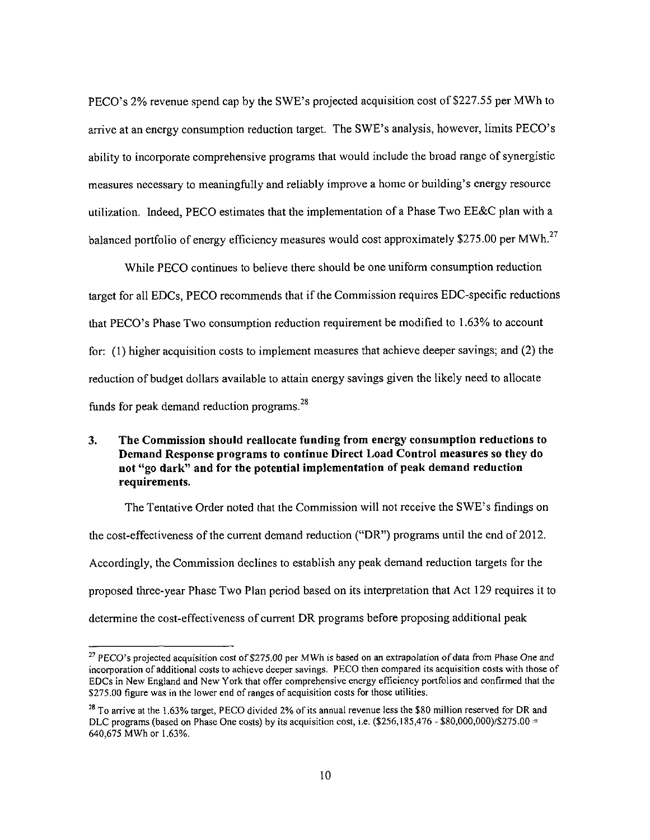PECO's 2% revenue spend cap by the SWE's projected acquisition cost of \$227.55 per MWh to arrive at an energy consumption reduction target. The SWE's analysis, however, limits PECO's ability to incorporate comprehensive programs that would include the broad range of synergistic measures necessary to meaningfully and reliably improve a home or building's energy resource utilization. Indeed, PECO estimates that the implementation of a Phase Two EE&C plan with a balanced portfolio of energy efficiency measures would cost approximately \$275.00 per MWh.<sup>27</sup>

While PECO continues to believe there should be one uniform consumption reduction target for all EDCs, PECO recommends that if the Commission requires EDC-specific reductions that PECO's Phase Two consumption reduction requirement be modified to 1.63% to account for: (1) higher acquisition costs to implement measures that achieve deeper savings; and (2) the reduction of budget dollars available to attain energy savings given the likely need to allocate funds for peak demand reduction programs.<sup>28</sup>

## **3. The Commission should reallocate funding from energy consumption reductions to Demand Response programs to continue Direct Load Control measures so they do not "go dark" and for the potential implementation of peak demand reduction requirements.**

The Tentative Order noted that the Commission will not receive the SWE's findings on the cost-effectiveness of the current demand reduction ("DR") programs until the end of 2012. Accordingly, the Commission declines to establish any peak demand reduction targets for the proposed three-year Phase Two Plan period based on its interpretation that Act 129 requires it to determine the cost-effectiveness of current DR programs before proposing additional peak

<sup>&</sup>lt;sup>27</sup> PECO's projected acquisition cost of \$275.00 per MWh is based on an extrapolation of data from Phase One and incorporation of additional costs to achieve deeper savings. PECO then compared its acquisition costs with those of EDCs in New England and New York that offer comprehensive energy efficiency portfolios and confirmed that the S275.00 figure was in the lower end of ranges of acquisition costs for those utilities.

<sup>&</sup>lt;sup>28</sup> To arrive at the 1.63% target, PECO divided 2% of its annual revenue less the \$80 million reserved for DR and DLC programs (based on Phase One costs) by its acquisition cost, i.e. (\$256,185,476 - \$80,000,000)/\$275.00 = 640,675 MWh or 1.63%.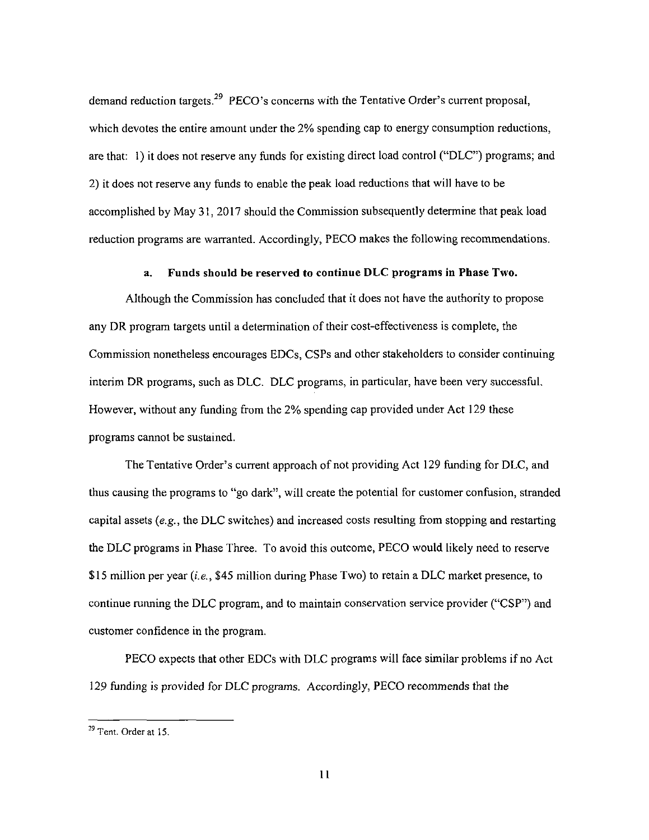demand reduction targets.<sup>29</sup> PECO's concerns with the Tentative Order's current proposal, which devotes the entire amount under the 2% spending cap to energy consumption reductions, are that: 1) it does not reserve any funds for existing direct load control ("DLC") programs; and 2) it does not reserve any funds to enable the peak load reductions that will have to be accomplished by May 31,2017 should the Commission subsequently determine that peak load reduction programs are warranted. Accordingly, PECO makes the following recommendations.

#### **a. Funds should be reserved to continue DLC programs in Phase Two.**

Although the Commission has concluded that it does not have the authority to propose any DR program targets until a determination of their cost-effectiveness is complete, the Commission nonetheless encourages EDCs, CSPs and other stakeholders to consider continuing interim DR programs, such as DLC. DLC programs, in particular, have been very successful. However, without any funding from the 2% spending cap provided under Act 129 these programs cannot be sustained.

The Tentative Order's current approach of not providing Act 129 funding for DLC, and thus causing the programs to "go dark", will create the potential for customer confusion, stranded capital assets  $(e.g., the DLC switches)$  and increased costs resulting from stopping and restarting the DLC programs in Phase Three. To avoid this outcome, PECO would likely need to reserve \$15 million per year  $(i.e., $45$  million during Phase Two) to retain a DLC market presence, to continue running the DLC program, and to maintain conservation service provider ("CSP") and customer confidence in the program.

PECO expects that other EDCs with DLC programs will face similar problems if no Act 129 funding is provided for DLC programs. Accordingly, PECO recommends that the

<sup>&</sup>lt;sup>29</sup> Tent. Order at 15.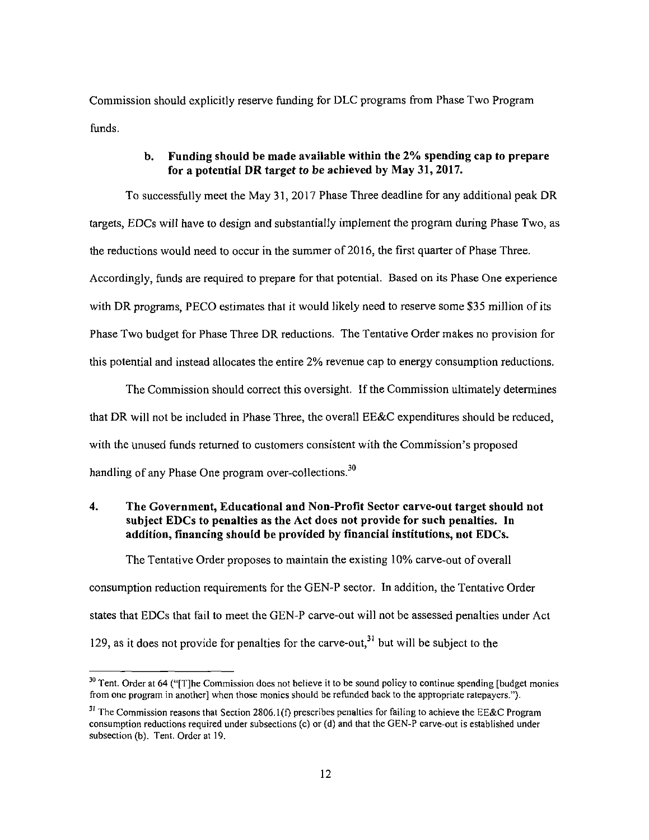Commission should explicitly reserve funding for DLC programs from Phase Two Program funds.

### **b. Funding should be made available within the 2% spending cap to prepare for a potential DR target to be achieved by May 31,2017.**

To successfully meet the May 31, 2017 Phase Three deadline for any additional peak DR targets, EDCs will have to design and substantially implement the program during Phase Two, as the reductions would need to occur in the summer of 2016, the first quarter of Phase Three. Accordingly, funds are required to prepare for that potential. Based on its Phase One experience with DR programs, PECO estimates that it would likely need to reserve some \$35 million of its Phase Two budget for Phase Three DR reductions. The Tentative Order makes no provision for this potential and instead allocates the entire 2% revenue cap to energy consumption reductions.

The Commission should correct this oversight. If the Commission ultimately determines that DR will not be included in Phase Three, the overall EE&C expenditures should be reduced, with the unused funds returned to customers consistent with the Commission's proposed handling of any Phase One program over-collections. $30$ 

## **4. The Government, Educational and Non-Profit Sector carve-out target should not subject EDCs to penalties as the Act does not provide for such penalties. In addition, financing should be provided by financial institutions, not EDCs.**

The Tentative Order proposes to maintain the existing 10% carve-out of overall consumption reduction requirements for the GEN-P sector. In addition, the Tentative Order states that EDCs that fail to meet the GEN-P carve-out will not be assessed penalties under Act 129, as it does not provide for penalties for the carve-out,<sup>31</sup> but will be subject to the

<sup>&</sup>lt;sup>30</sup> Tent. Order at 64 ("[T]he Commission does not believe it to be sound policy to continue spending [budget monies from one program in another] when those monies should be refunded back to the appropriate ratepayers.").

 $3<sup>31</sup>$  The Commission reasons that Section 2806.1(f) prescribes penalties for failing to achieve the EE&C Program consumption reductions required under subsections (c) or (d) and that the GEN-P carve-out is established under subsection (b). Tent. Order at 19.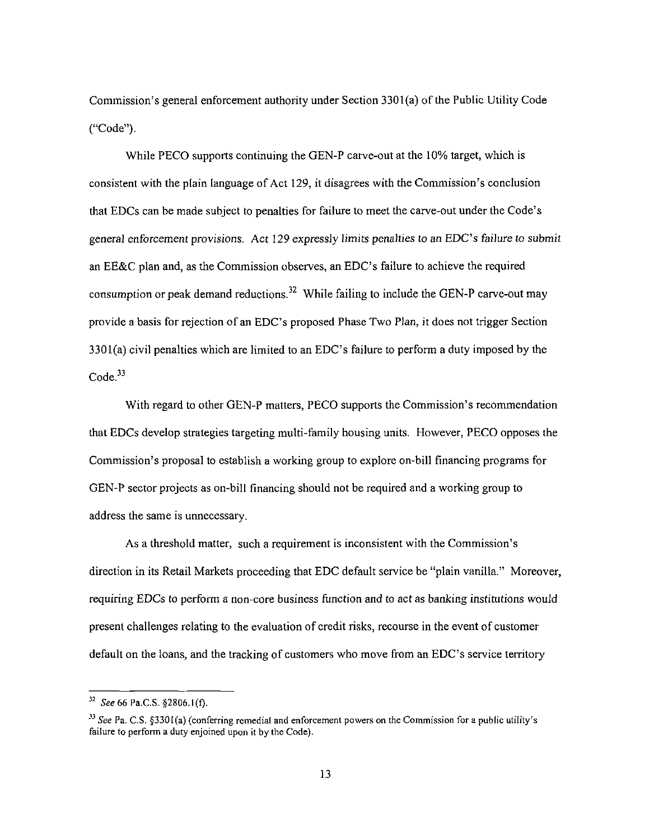Commission's general enforcement authority under Section 3301(a) of the Public Utility Code ("Code").

While PECO supports continuing the GEN-P carve-out at the 10% target, which is consistent with the plain language of Act 129, it disagrees with the Commission's conclusion that EDCs can be made subject to penalties for failure to meet the carve-out under the Code's general enforcement provisions. Act 129 expressly limits penalties to an EDC's failure to submit an EE&C plan and, as the Commission observes, an EDC's failure to achieve the required consumption or peak demand reductions.<sup>32</sup> While failing to include the GEN-P carve-out may provide a basis for rejection of an EDC's proposed Phase Two Plan, it does not trigger Section  $3301(a)$  civil penalties which are limited to an EDC's failure to perform a duty imposed by the Code.<sup>33</sup>

With regard to other GEN-P matters, PECO supports the Commission's recommendation that EDCs develop strategies targeting multi-family housing units. However, PECO opposes the Commission's proposal to establish a working group to explore on-bill financing programs for GEN-P sector projects as on-bill financing should not be required and a working group to address the same is unnecessary.

As a threshold matter, such a requirement is inconsistent with the Commission's direction in its Retail Markets proceeding that EDC default service be "plain vanilla." Moreover, requiring EDCs to perform a non-core business function and to act as banking institutions would present challenges relating to the evaluation of credit risks, recourse in the event of customer default on the loans, and the tracking of customers who move from an EDC's service territory

 $32$  See 66 Pa.C.S. §2806.1(f).

<sup>&</sup>lt;sup>33</sup> See Pa. C.S. §3301(a) (conferring remedial and enforcement powers on the Commission for a public utility's failure to perform a duty enjoined upon it by the Code).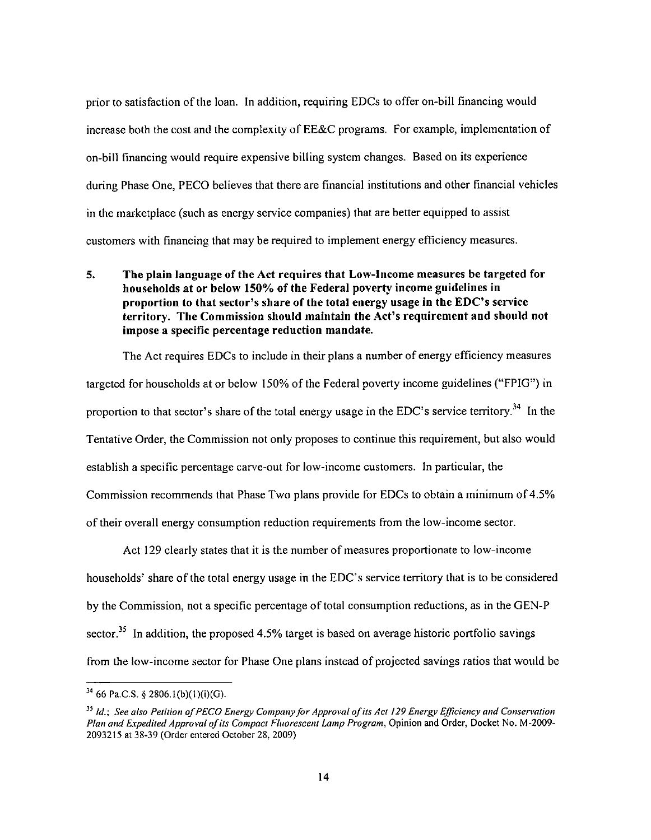prior to satisfaction of the loan. In addition, requiring EDCs to offer on-bill financing would increase both the cost and the complexity of EE&C programs. For example, implementation of on-bill financing would require expensive billing system changes. Based on its experience during Phase One, PECO believes that there are financial institutions and other financial vehicles in the marketplace (such as energy service companies) that are better equipped to assist customers with financing that may be required to implement energy efficiency measures.

**5. The plain language of the Act requires that Low-Income measures be targeted for households at or below 150% of the Federal poverty income guidelines in proportion to that sector's share of the total energy usage in the EDC's service territory. The Commission should maintain the Act's requirement and should not impose a specific percentage reduction mandate.** 

The Act requires EDCs to include in their plans a number of energy efficiency measures targeted for households at or below 150% of the Federal poverty income guidelines ("FPIG") in proportion to that sector's share of the total energy usage in the EDC's service territory.<sup>34</sup> In the Tentative Order, the Commission not only proposes to continue this requirement, but also would establish a specific percentage carve-out for low-income customers. In particular, the Commission recommends that Phase Two plans provide for EDCs to obtain a minimum of 4.5% of their overall energy consumption reduction requirements from the low-income sector.

Act 129 clearly states that it is the number of measures proportionate to low-income households' share of the total energy usage in the EDC's service territory that is to be considered by the Commission, not a specific percentage of total consumption reductions, as in the GEN-P sector.<sup>35</sup> In addition, the proposed 4.5% target is based on average historic portfolio savings from the low-income sector for Phase One plans instead of projected savings ratios that would be

 $3<sup>4</sup>$  66 Pa.C.S. § 2806.1(b)(1)(i)(G).

<sup>&</sup>lt;sup>35</sup> Id.; See also Petition of PECO Energy Company for Approval of its Act 129 Energy Efficiency and Conservation Plan and Expedited Approval of its Compact Fluorescent Lamp Program, Opinion and Order, Docket No. M-2009- 2093215 at 38-39 (Order entered October 28, 2009)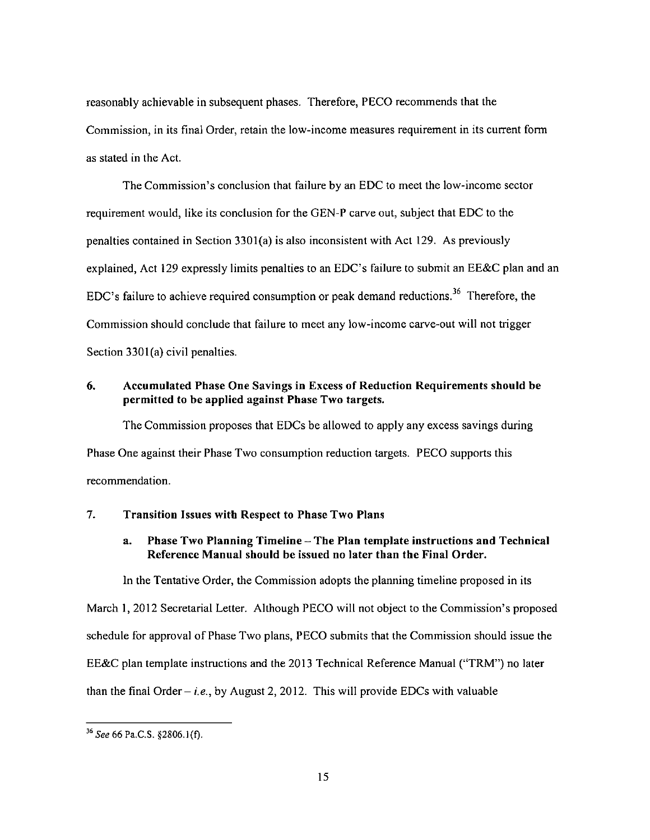reasonably achievable in subsequent phases. Therefore, PECO recommends that the Commission, in its final Order, retain the low-income measures requirement in its current form as stated in the Act.

The Commission's conclusion that failure by an EDC to meet the low-income sector requirement would, like its conclusion for the GEN-P carve out, subject that EDC to the penalties contained in Section 3301(a) is also inconsistent with Act 129. As previously explained, Act 129 expressly limits penalties to an EDC's failure to submit an EE&C plan and an EDC's failure to achieve required consumption or peak demand reductions.<sup>36</sup> Therefore, the Commission should conclude that failure to meet any low-income carve-out will not trigger Section 3301(a) civil penalties.

## **6. Accumulated Phase One Savings in Excess of Reduction Requirements should be permitted to be applied against Phase Two targets.**

The Commission proposes that EDCs be allowed to apply any excess savings during Phase One against their Phase Two consumption reduction targets. PECO supports this recommendation.

#### **7. Transition Issues with Respect to Phase Two Plans**

# **a. Phase Two Planning Timeline - The Plan template instructions and Technical Reference Manual should be issued no later than the Final Order.**

In the Tentative Order, the Commission adopts the planning timeline proposed in its

March 1, 2012 Secretarial Letter. Although PECO will not object to the Commission's proposed

schedule for approval of Phase Two plans, PECO submits that the Commission should issue the

EE&C plan template instructions and the 2013 Technical Reference Manual ("TRM") no later

than the final Order – *i.e.*, by August 2, 2012. This will provide EDCs with valuable

**<sup>36</sup>**See 66 Pa.C.S. §2806.1(f).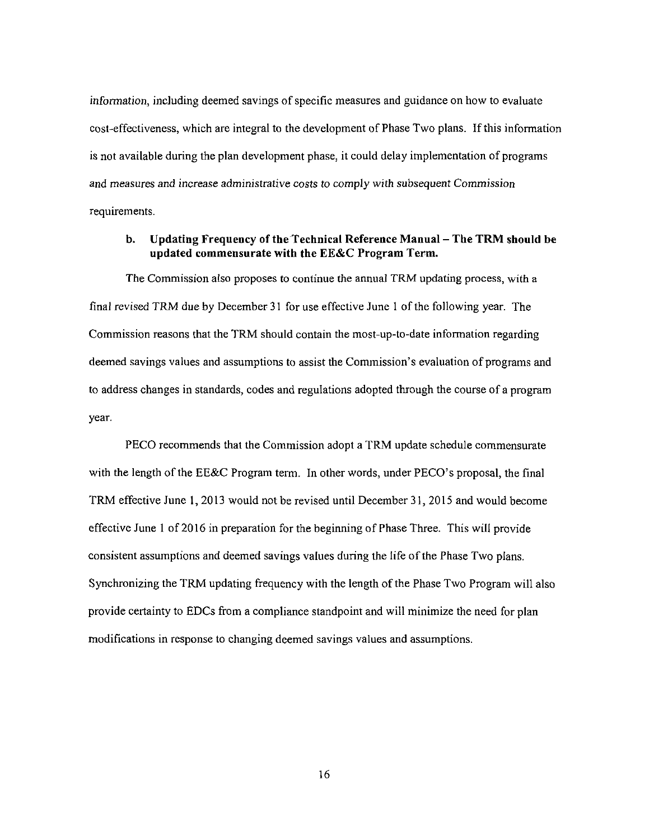information, including deemed savings of specific measures and guidance on how to evaluate cost-effectiveness, which are integral to the development of Phase Two plans. If this information is not available during the plan development phase, it could delay implementation of programs and measures and increase administrative costs to comply with subsequent Commission requirements.

#### **b. Updating Frequency of the Technical Reference Manual - The TRM should be updated commensurate with the EE&C Program Term.**

The Commission also proposes to continue the annual TRM updating process, with a final revised TRM due by December 31 for use effective June 1 of the following year. The Commission reasons that the TRM should contain the most-up-to-date information regarding deemed savings values and assumptions to assist the Commission's evaluation of programs and to address changes in standards, codes and regulations adopted through the course of a program year.

PECO recommends that the Commission adopt a TRM update schedule commensurate with the length of the EE&C Program term. In other words, under PECO's proposal, the final TRM effective June 1, 2013 would not be revised until December 31, 2015 and would become effective June 1 of 2016 in preparation for the beginning of Phase Three. This will provide consistent assumptions and deemed savings values during the life of the Phase Two plans. Synchronizing the TRM updating frequency with the length of the Phase Two Program will also provide certainty to EDCs from a compliance standpoint and will minimize the need for plan modifications in response to changing deemed savings values and assumptions.

16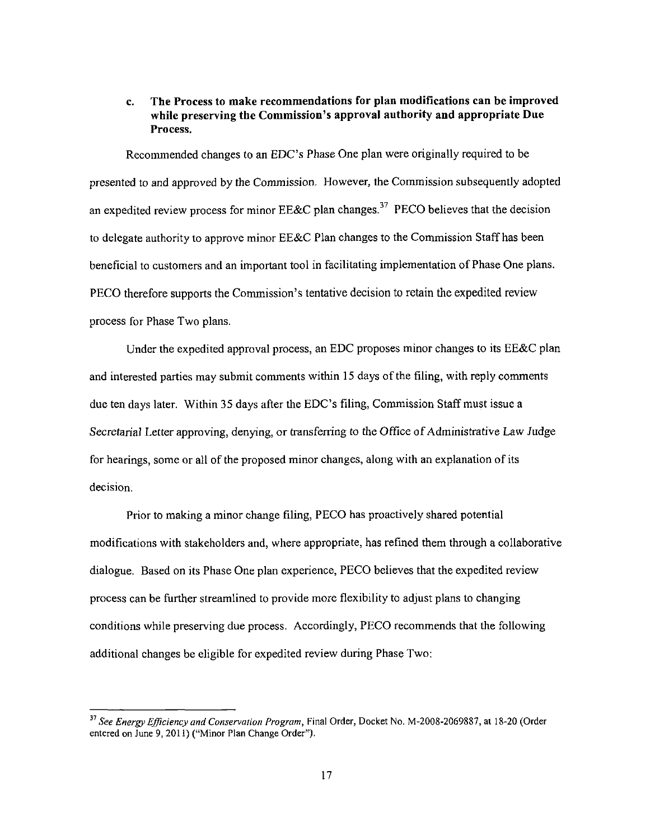# **c. The Process to make recommendations for plan modifications can be improved while preserving the Commission's approval authority and appropriate Due Process.**

Recommended changes to an EDC's Phase One plan were originally required to be presented to and approved by the Commission. However, the Commission subsequently adopted an expedited review process for minor  $EE&C$  plan changes.<sup>37</sup> PECO believes that the decision to delegate authority to approve minor EE&C Plan changes to the Commission Staff has been beneficial to customers and an important tool in facilitating implementation of Phase One plans. PECO therefore supports the Commission's tentative decision to retain the expedited review process for Phase Two plans.

Under the expedited approval process, an EDC proposes minor changes to its EE&C plan and interested parties may submit comments within 15 days of the filing, with reply comments due ten days later. Within 35 days after the EDC's filing, Commission Staff must issue a Secretarial Letter approving, denying, or transferring to the Office of Administrative Law Judge for hearings, some or all of the proposed minor changes, along with an explanation of its decision.

Prior to making a minor change filing, PECO has proactively shared potential modifications with stakeholders and, where appropriate, has refined them through a collaborative dialogue. Based on its Phase One plan experience, PECO believes that the expedited review process can be further streamlined to provide more flexibility to adjust plans to changing conditions while preserving due process. Accordingly, PECO recommends that the following additional changes be eligible for expedited review during Phase Two:

<sup>&</sup>lt;sup>37</sup> See Energy Efficiency and Conservation Program, Final Order, Docket No. M-2008-2069887, at 18-20 (Order entered on June 9, 2011) ("Minor Plan Change Order").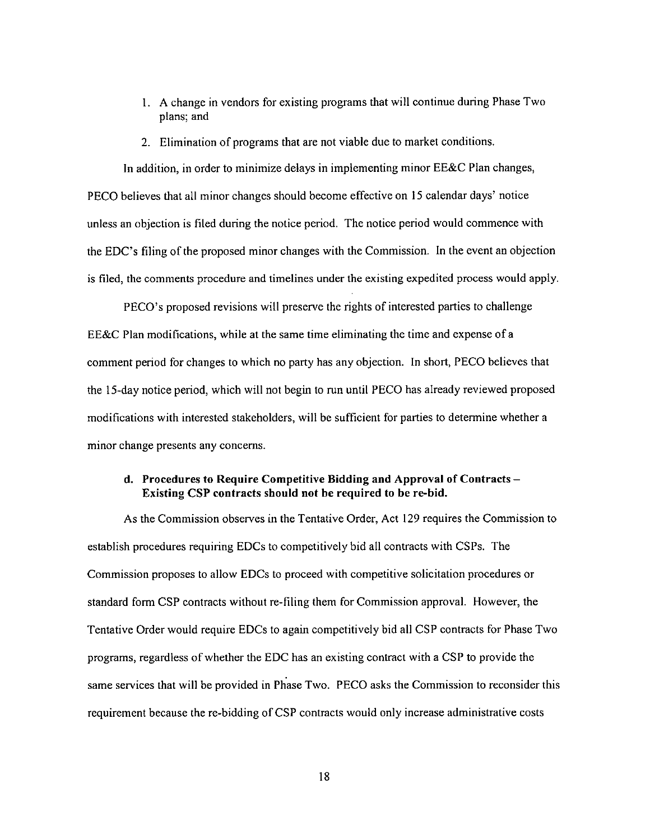- 1. A change in vendors for existing programs that will continue during Phase Two plans; and
- 2. Elimination of programs that are not viable due to market conditions.

In addition, in order to minimize delays in implementing minor EE&C Plan changes, PECO believes that all minor changes should become effective on 15 calendar days' notice unless an objection is filed during the notice period. The notice period would commence with the EDC's filing of the proposed minor changes with the Commission. In the event an objection is filed, the comments procedure and timelines under the existing expedited process would apply.

PECO's proposed revisions will preserve the rights of interested parties to challenge EE&C Plan modifications, while at the same time eliminating the time and expense of a comment period for changes to which no party has any objection. In short, PECO believes that the 15-day notice period, which will not begin to run until PECO has already reviewed proposed modifications with interested stakeholders, will be sufficient for parties to determine whether a minor change presents any concerns.

#### **d. Procedures to Require Competitive Bidding and Approval of Contracts - Existing CSP contracts should not be required to be re-bid.**

As the Commission observes in the Tentative Order, Act 129 requires the Commission to establish procedures requiring EDCs to competitively bid all contracts with CSPs. The Commission proposes to allow EDCs to proceed with competitive solicitation procedures or standard form CSP contracts without re-filing them for Commission approval. However, the Tentative Order would require EDCs to again competitively bid all CSP contracts for Phase Two programs, regardless of whether the EDC has an existing contract with a CSP to provide the same services that will be provided in Phase Two. PECO asks the Commission to reconsider this requirement because the re-bidding of CSP contracts would only increase administrative costs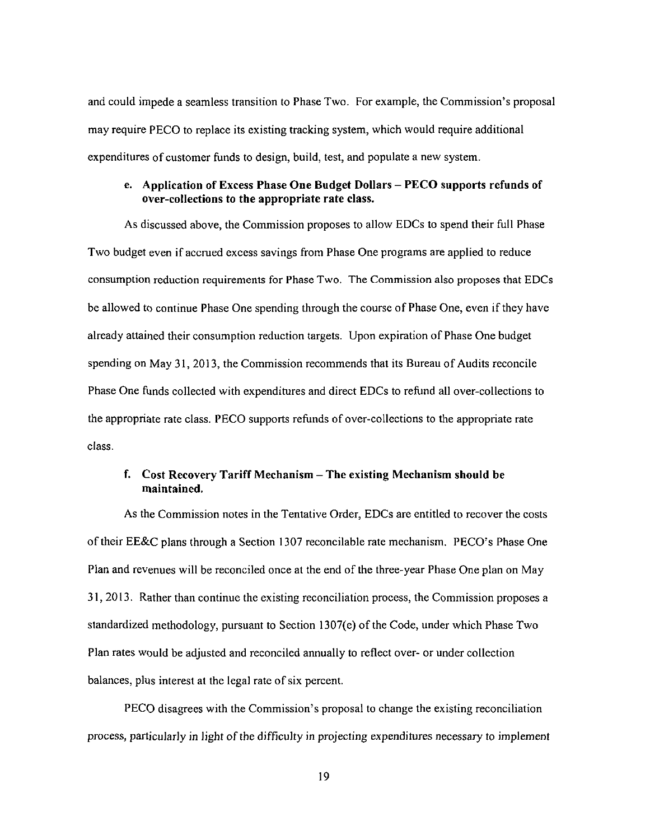and could impede a seamless transition to Phase Two. For example, the Commission's proposal may require PECO to replace its existing tracking system, which would require additional expenditures of customer funds to design, build, test, and populate a new system.

#### **e. Application of Excess Phase One Budget Dollars - PECO supports refunds of over-collections to the appropriate rate class.**

As discussed above, the Commission proposes to allow EDCs to spend their full Phase Two budget even if accrued excess savings from Phase One programs are applied to reduce consumption reduction requirements for Phase Two. The Commission also proposes that EDCs be allowed to continue Phase One spending through the course of Phase One, even if they have already attained their consumption reduction targets. Upon expiration of Phase One budget spending on May 31, 2013, the Commission recommends that its Bureau of Audits reconcile Phase One ftinds collected with expenditures and direct EDCs to refund all over-collections to the appropriate rate class. PECO supports refunds of over-collections to the appropriate rate class.

## **f. Cost Recovery Tariff Mechanism - The existing Mechanism should be maintained.**

As the Commission notes in the Tentative Order, EDCs are entitled to recover the costs of their EE&C plans through a Section 1307 reconcilable rate mechanism. PECO's Phase One Plan and revenues will be reconciled once at the end of the three-year Phase One plan on May 31, 2013. Rather than continue the existing reconciliation process, the Commission proposes a standardized methodology, pursuant to Section 1307(e) of the Code, under which Phase Two Plan rates would be adjusted and reconciled annually to reflect over- or under collection balances, plus interest at the legal rate of six percent.

PECO disagrees with the Commission's proposal to change the existing reconciliation process, particularly in light of the difficulty in projecting expenditures necessary to implement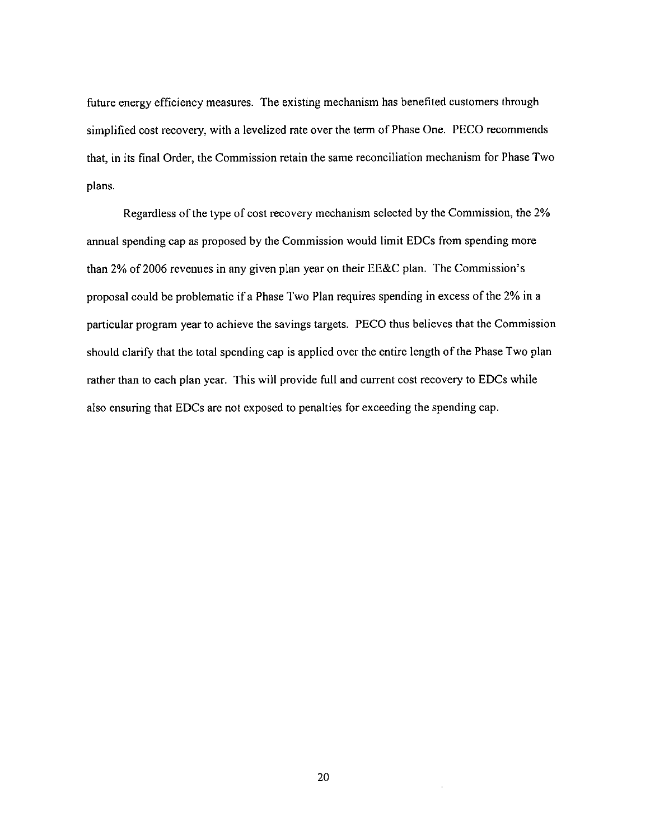future energy efficiency measures. The existing mechanism has benefited customers through simplified cost recovery, with a levelized rate over the term of Phase One. PECO recommends that, in its final Order, the Commission retain the same reconciliation mechanism for Phase Two plans.

Regardless of the type of cost recovery mechanism selected by the Commission, the 2% annual spending cap as proposed by the Commission would limit EDCs from spending more than 2% of 2006 revenues in any given plan year on their EE&C plan. The Commission's proposal could be problematic if a Phase Two Plan requires spending in excess of the 2% in a particular program year to achieve the savings targets. PECO thus believes that the Commission should clarify that the total spending cap is applied over the entire length of the Phase Two plan rather than to each plan year. This will provide full and current cost recovery to EDCs while also ensuring that EDCs are not exposed to penalties for exceeding the spending cap.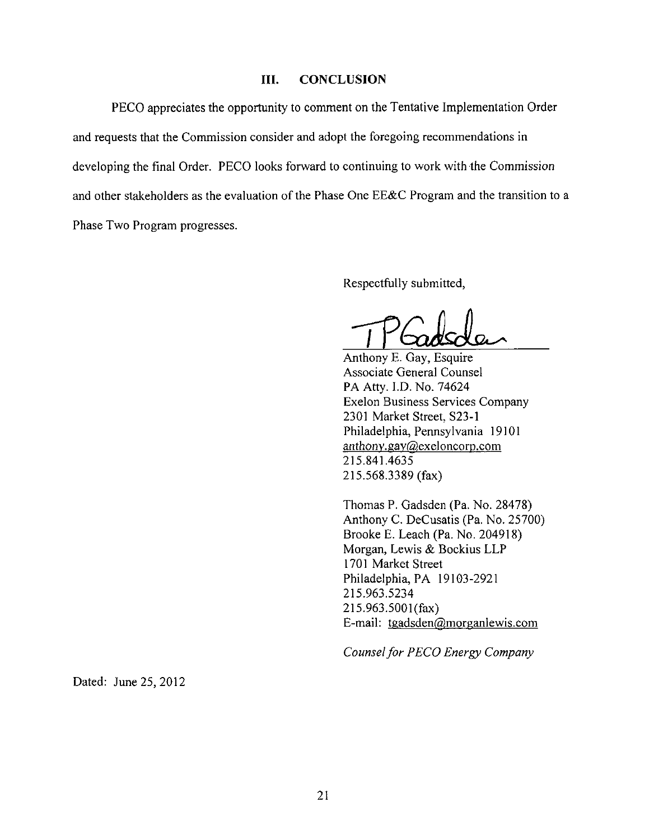#### **III. CONCLUSION**

PECO appreciates the opportunity to comment on the Tentative Implementation Order and requests that the Commission consider and adopt the foregoing recommendations in developing the final Order. PECO looks forward to continuing to work with the Commission and other stakeholders as the evaluation of the Phase One EE&C Program and the transition to a Phase Two Program progresses.

Respectfully submitted,

Anthony E. Gay, Esquire Associate General Counsel PA Atty. I.D. No. 74624 Exelon Business Services Company 2301 Market Street, S23-1 Philadelphia, Pennsylvania 19101 anthony.gay@exeloncorp.com 215.841.4635 215.568.3389 (fax)

Thomas P. Gadsden (Pa. No. 28478) Anthony C. DeCusatis (Pa. No. 25700) Brooke E. Leach (Pa. No. 204918) Morgan, Lewis & Bockius LLP 1701 Market Street Philadelphia, PA 19103-2921 215.963.5234 215.963.5001(fax) E-mail: tgadsden@morganlewis.com

*E-mail: tgadsden@morganlewis.com*  Counsel for PECO Energy Company *Counsel for PECO Energy Company* 

Dated: June 25, 2012